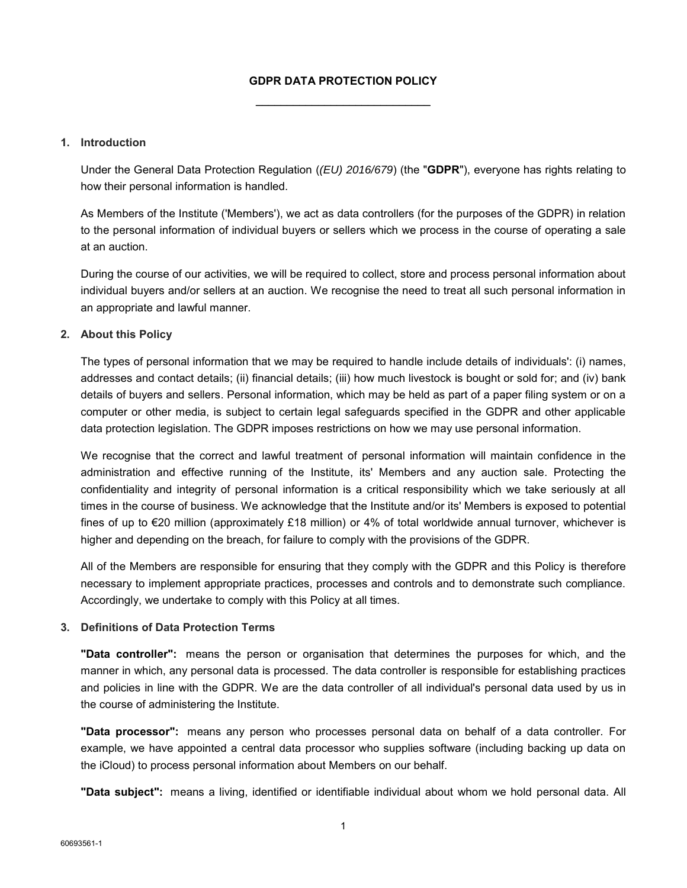# **GDPR DATA PROTECTION POLICY** \_\_\_\_\_\_\_\_\_\_\_\_\_\_\_\_\_\_\_\_\_\_\_\_\_\_\_\_

#### **1. Introduction**

Under the General Data Protection Regulation (*(EU) 2016/679*) (the "**GDPR**"), everyone has rights relating to how their personal information is handled.

As Members of the Institute ('Members'), we act as data controllers (for the purposes of the GDPR) in relation to the personal information of individual buyers or sellers which we process in the course of operating a sale at an auction.

During the course of our activities, we will be required to collect, store and process personal information about individual buyers and/or sellers at an auction. We recognise the need to treat all such personal information in an appropriate and lawful manner.

#### **2. About this Policy**

The types of personal information that we may be required to handle include details of individuals': (i) names, addresses and contact details; (ii) financial details; (iii) how much livestock is bought or sold for; and (iv) bank details of buyers and sellers. Personal information, which may be held as part of a paper filing system or on a computer or other media, is subject to certain legal safeguards specified in the GDPR and other applicable data protection legislation. The GDPR imposes restrictions on how we may use personal information.

We recognise that the correct and lawful treatment of personal information will maintain confidence in the administration and effective running of the Institute, its' Members and any auction sale. Protecting the confidentiality and integrity of personal information is a critical responsibility which we take seriously at all times in the course of business. We acknowledge that the Institute and/or its' Members is exposed to potential fines of up to €20 million (approximately £18 million) or 4% of total worldwide annual turnover, whichever is higher and depending on the breach, for failure to comply with the provisions of the GDPR.

All of the Members are responsible for ensuring that they comply with the GDPR and this Policy is therefore necessary to implement appropriate practices, processes and controls and to demonstrate such compliance. Accordingly, we undertake to comply with this Policy at all times.

# **3. Definitions of Data Protection Terms**

**"Data controller":** means the person or organisation that determines the purposes for which, and the manner in which, any personal data is processed. The data controller is responsible for establishing practices and policies in line with the GDPR. We are the data controller of all individual's personal data used by us in the course of administering the Institute.

**"Data processor":** means any person who processes personal data on behalf of a data controller. For example, we have appointed a central data processor who supplies software (including backing up data on the iCloud) to process personal information about Members on our behalf.

**"Data subject":** means a living, identified or identifiable individual about whom we hold personal data. All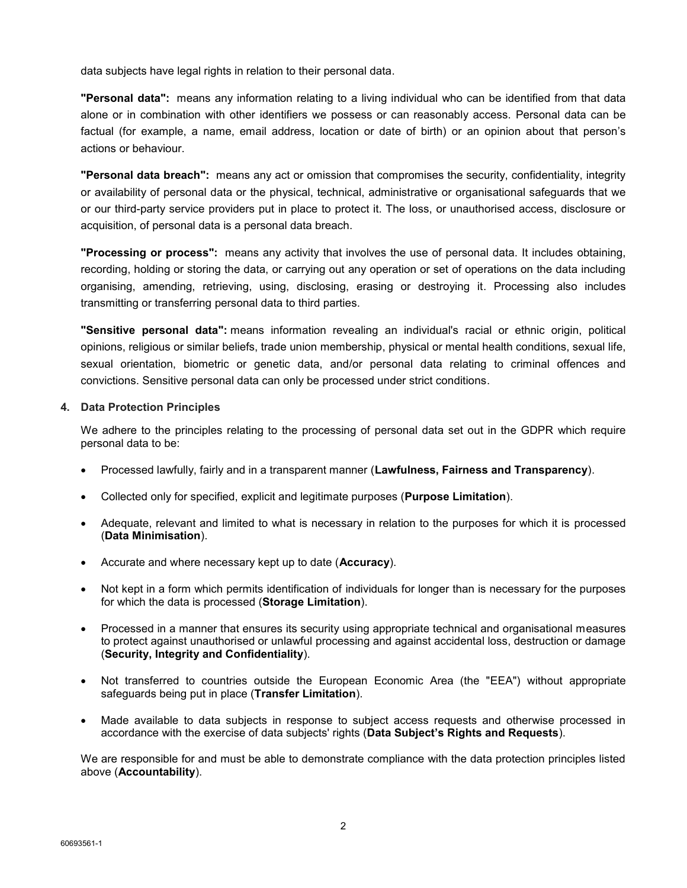data subjects have legal rights in relation to their personal data.

**"Personal data":** means any information relating to a living individual who can be identified from that data alone or in combination with other identifiers we possess or can reasonably access. Personal data can be factual (for example, a name, email address, location or date of birth) or an opinion about that person's actions or behaviour.

**"Personal data breach":** means any act or omission that compromises the security, confidentiality, integrity or availability of personal data or the physical, technical, administrative or organisational safeguards that we or our third-party service providers put in place to protect it. The loss, or unauthorised access, disclosure or acquisition, of personal data is a personal data breach.

**"Processing or process":** means any activity that involves the use of personal data. It includes obtaining, recording, holding or storing the data, or carrying out any operation or set of operations on the data including organising, amending, retrieving, using, disclosing, erasing or destroying it. Processing also includes transmitting or transferring personal data to third parties.

**"Sensitive personal data":** means information revealing an individual's racial or ethnic origin, political opinions, religious or similar beliefs, trade union membership, physical or mental health conditions, sexual life, sexual orientation, biometric or genetic data, and/or personal data relating to criminal offences and convictions. Sensitive personal data can only be processed under strict conditions.

#### **4. Data Protection Principles**

We adhere to the principles relating to the processing of personal data set out in the GDPR which require personal data to be:

- Processed lawfully, fairly and in a transparent manner (**Lawfulness, Fairness and Transparency**).
- Collected only for specified, explicit and legitimate purposes (**Purpose Limitation**).
- Adequate, relevant and limited to what is necessary in relation to the purposes for which it is processed (**Data Minimisation**).
- Accurate and where necessary kept up to date (**Accuracy**).
- Not kept in a form which permits identification of individuals for longer than is necessary for the purposes for which the data is processed (**Storage Limitation**).
- Processed in a manner that ensures its security using appropriate technical and organisational measures to protect against unauthorised or unlawful processing and against accidental loss, destruction or damage (**Security, Integrity and Confidentiality**).
- Not transferred to countries outside the European Economic Area (the "EEA") without appropriate safeguards being put in place (**Transfer Limitation**).
- Made available to data subjects in response to subject access requests and otherwise processed in accordance with the exercise of data subjects' rights (**Data Subject's Rights and Requests**).

We are responsible for and must be able to demonstrate compliance with the data protection principles listed above (**Accountability**).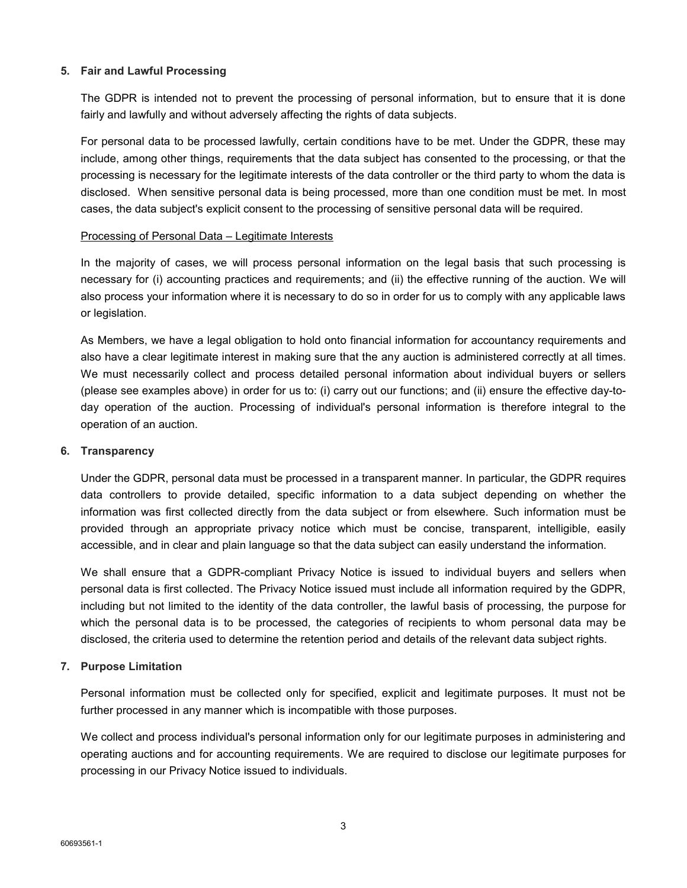# **5. Fair and Lawful Processing**

The GDPR is intended not to prevent the processing of personal information, but to ensure that it is done fairly and lawfully and without adversely affecting the rights of data subjects.

For personal data to be processed lawfully, certain conditions have to be met. Under the GDPR, these may include, among other things, requirements that the data subject has consented to the processing, or that the processing is necessary for the legitimate interests of the data controller or the third party to whom the data is disclosed. When sensitive personal data is being processed, more than one condition must be met. In most cases, the data subject's explicit consent to the processing of sensitive personal data will be required.

#### Processing of Personal Data – Legitimate Interests

In the majority of cases, we will process personal information on the legal basis that such processing is necessary for (i) accounting practices and requirements; and (ii) the effective running of the auction. We will also process your information where it is necessary to do so in order for us to comply with any applicable laws or legislation.

As Members, we have a legal obligation to hold onto financial information for accountancy requirements and also have a clear legitimate interest in making sure that the any auction is administered correctly at all times. We must necessarily collect and process detailed personal information about individual buyers or sellers (please see examples above) in order for us to: (i) carry out our functions; and (ii) ensure the effective day-today operation of the auction. Processing of individual's personal information is therefore integral to the operation of an auction.

#### **6. Transparency**

Under the GDPR, personal data must be processed in a transparent manner. In particular, the GDPR requires data controllers to provide detailed, specific information to a data subject depending on whether the information was first collected directly from the data subject or from elsewhere. Such information must be provided through an appropriate privacy notice which must be concise, transparent, intelligible, easily accessible, and in clear and plain language so that the data subject can easily understand the information.

We shall ensure that a GDPR-compliant Privacy Notice is issued to individual buyers and sellers when personal data is first collected. The Privacy Notice issued must include all information required by the GDPR, including but not limited to the identity of the data controller, the lawful basis of processing, the purpose for which the personal data is to be processed, the categories of recipients to whom personal data may be disclosed, the criteria used to determine the retention period and details of the relevant data subject rights.

# **7. Purpose Limitation**

Personal information must be collected only for specified, explicit and legitimate purposes. It must not be further processed in any manner which is incompatible with those purposes.

We collect and process individual's personal information only for our legitimate purposes in administering and operating auctions and for accounting requirements. We are required to disclose our legitimate purposes for processing in our Privacy Notice issued to individuals.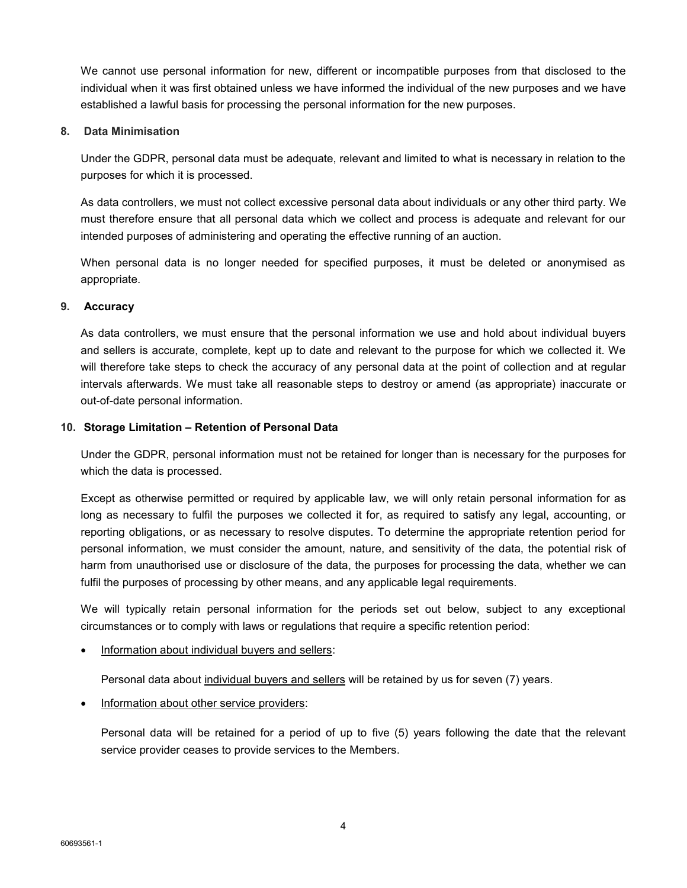We cannot use personal information for new, different or incompatible purposes from that disclosed to the individual when it was first obtained unless we have informed the individual of the new purposes and we have established a lawful basis for processing the personal information for the new purposes.

## **8. Data Minimisation**

Under the GDPR, personal data must be adequate, relevant and limited to what is necessary in relation to the purposes for which it is processed.

As data controllers, we must not collect excessive personal data about individuals or any other third party. We must therefore ensure that all personal data which we collect and process is adequate and relevant for our intended purposes of administering and operating the effective running of an auction.

When personal data is no longer needed for specified purposes, it must be deleted or anonymised as appropriate.

#### **9. Accuracy**

As data controllers, we must ensure that the personal information we use and hold about individual buyers and sellers is accurate, complete, kept up to date and relevant to the purpose for which we collected it. We will therefore take steps to check the accuracy of any personal data at the point of collection and at regular intervals afterwards. We must take all reasonable steps to destroy or amend (as appropriate) inaccurate or out-of-date personal information.

#### **10. Storage Limitation – Retention of Personal Data**

Under the GDPR, personal information must not be retained for longer than is necessary for the purposes for which the data is processed.

Except as otherwise permitted or required by applicable law, we will only retain personal information for as long as necessary to fulfil the purposes we collected it for, as required to satisfy any legal, accounting, or reporting obligations, or as necessary to resolve disputes. To determine the appropriate retention period for personal information, we must consider the amount, nature, and sensitivity of the data, the potential risk of harm from unauthorised use or disclosure of the data, the purposes for processing the data, whether we can fulfil the purposes of processing by other means, and any applicable legal requirements.

We will typically retain personal information for the periods set out below, subject to any exceptional circumstances or to comply with laws or regulations that require a specific retention period:

Information about individual buyers and sellers:

Personal data about individual buyers and sellers will be retained by us for seven (7) years.

Information about other service providers:

Personal data will be retained for a period of up to five (5) years following the date that the relevant service provider ceases to provide services to the Members.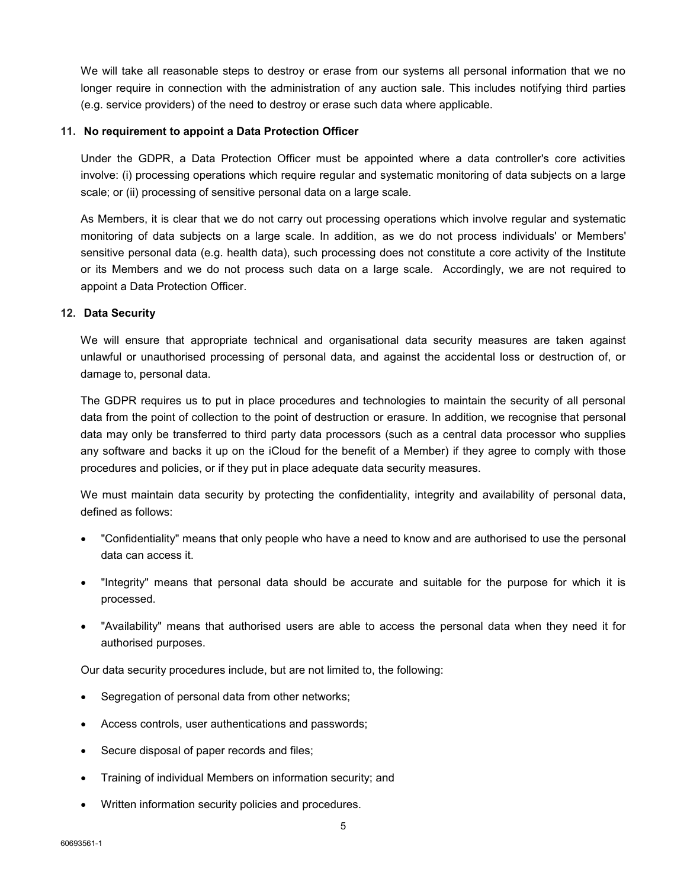We will take all reasonable steps to destroy or erase from our systems all personal information that we no longer require in connection with the administration of any auction sale. This includes notifying third parties (e.g. service providers) of the need to destroy or erase such data where applicable.

#### **11. No requirement to appoint a Data Protection Officer**

Under the GDPR, a Data Protection Officer must be appointed where a data controller's core activities involve: (i) processing operations which require regular and systematic monitoring of data subjects on a large scale; or (ii) processing of sensitive personal data on a large scale.

As Members, it is clear that we do not carry out processing operations which involve regular and systematic monitoring of data subjects on a large scale. In addition, as we do not process individuals' or Members' sensitive personal data (e.g. health data), such processing does not constitute a core activity of the Institute or its Members and we do not process such data on a large scale. Accordingly, we are not required to appoint a Data Protection Officer.

#### **12. Data Security**

We will ensure that appropriate technical and organisational data security measures are taken against unlawful or unauthorised processing of personal data, and against the accidental loss or destruction of, or damage to, personal data.

The GDPR requires us to put in place procedures and technologies to maintain the security of all personal data from the point of collection to the point of destruction or erasure. In addition, we recognise that personal data may only be transferred to third party data processors (such as a central data processor who supplies any software and backs it up on the iCloud for the benefit of a Member) if they agree to comply with those procedures and policies, or if they put in place adequate data security measures.

We must maintain data security by protecting the confidentiality, integrity and availability of personal data, defined as follows:

- "Confidentiality" means that only people who have a need to know and are authorised to use the personal data can access it.
- "Integrity" means that personal data should be accurate and suitable for the purpose for which it is processed.
- "Availability" means that authorised users are able to access the personal data when they need it for authorised purposes.

Our data security procedures include, but are not limited to, the following:

- Segregation of personal data from other networks;
- Access controls, user authentications and passwords;
- Secure disposal of paper records and files;
- Training of individual Members on information security; and
- Written information security policies and procedures.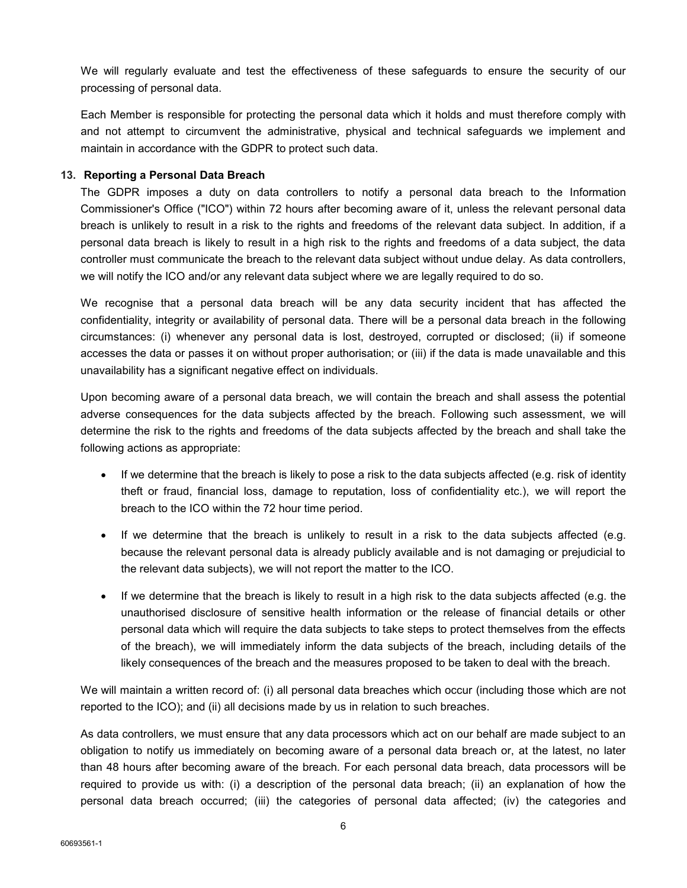We will regularly evaluate and test the effectiveness of these safeguards to ensure the security of our processing of personal data.

Each Member is responsible for protecting the personal data which it holds and must therefore comply with and not attempt to circumvent the administrative, physical and technical safeguards we implement and maintain in accordance with the GDPR to protect such data.

#### **13. Reporting a Personal Data Breach**

The GDPR imposes a duty on data controllers to notify a personal data breach to the Information Commissioner's Office ("ICO") within 72 hours after becoming aware of it, unless the relevant personal data breach is unlikely to result in a risk to the rights and freedoms of the relevant data subject. In addition, if a personal data breach is likely to result in a high risk to the rights and freedoms of a data subject, the data controller must communicate the breach to the relevant data subject without undue delay. As data controllers, we will notify the ICO and/or any relevant data subject where we are legally required to do so.

We recognise that a personal data breach will be any data security incident that has affected the confidentiality, integrity or availability of personal data. There will be a personal data breach in the following circumstances: (i) whenever any personal data is lost, destroyed, corrupted or disclosed; (ii) if someone accesses the data or passes it on without proper authorisation; or (iii) if the data is made unavailable and this unavailability has a significant negative effect on individuals.

Upon becoming aware of a personal data breach, we will contain the breach and shall assess the potential adverse consequences for the data subjects affected by the breach. Following such assessment, we will determine the risk to the rights and freedoms of the data subjects affected by the breach and shall take the following actions as appropriate:

- If we determine that the breach is likely to pose a risk to the data subjects affected (e.g. risk of identity theft or fraud, financial loss, damage to reputation, loss of confidentiality etc.), we will report the breach to the ICO within the 72 hour time period.
- If we determine that the breach is unlikely to result in a risk to the data subjects affected (e.g. because the relevant personal data is already publicly available and is not damaging or prejudicial to the relevant data subjects), we will not report the matter to the ICO.
- If we determine that the breach is likely to result in a high risk to the data subjects affected (e.g. the unauthorised disclosure of sensitive health information or the release of financial details or other personal data which will require the data subjects to take steps to protect themselves from the effects of the breach), we will immediately inform the data subjects of the breach, including details of the likely consequences of the breach and the measures proposed to be taken to deal with the breach.

We will maintain a written record of: (i) all personal data breaches which occur (including those which are not reported to the ICO); and (ii) all decisions made by us in relation to such breaches.

As data controllers, we must ensure that any data processors which act on our behalf are made subject to an obligation to notify us immediately on becoming aware of a personal data breach or, at the latest, no later than 48 hours after becoming aware of the breach. For each personal data breach, data processors will be required to provide us with: (i) a description of the personal data breach; (ii) an explanation of how the personal data breach occurred; (iii) the categories of personal data affected; (iv) the categories and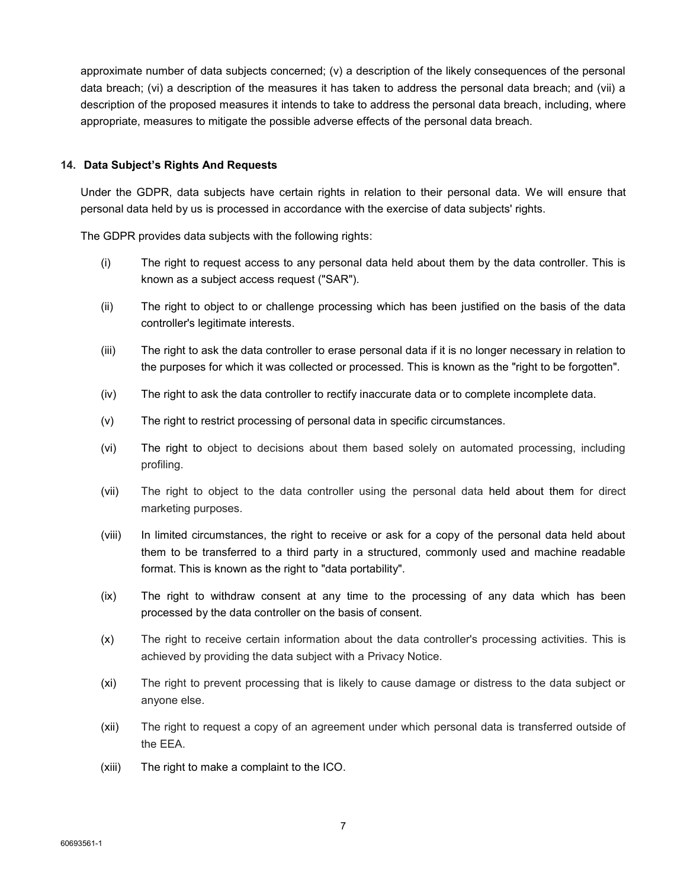approximate number of data subjects concerned; (v) a description of the likely consequences of the personal data breach; (vi) a description of the measures it has taken to address the personal data breach; and (vii) a description of the proposed measures it intends to take to address the personal data breach, including, where appropriate, measures to mitigate the possible adverse effects of the personal data breach.

#### **14. Data Subject's Rights And Requests**

Under the GDPR, data subjects have certain rights in relation to their personal data. We will ensure that personal data held by us is processed in accordance with the exercise of data subjects' rights.

The GDPR provides data subjects with the following rights:

- (i) The right to request access to any personal data held about them by the data controller. This is known as a subject access request ("SAR").
- (ii) The right to object to or challenge processing which has been justified on the basis of the data controller's legitimate interests.
- (iii) The right to ask the data controller to erase personal data if it is no longer necessary in relation to the purposes for which it was collected or processed. This is known as the "right to be forgotten".
- (iv) The right to ask the data controller to rectify inaccurate data or to complete incomplete data.
- (v) The right to restrict processing of personal data in specific circumstances.
- (vi) The right to object to decisions about them based solely on automated processing, including profiling.
- (vii) The right to object to the data controller using the personal data held about them for direct marketing purposes.
- (viii) In limited circumstances, the right to receive or ask for a copy of the personal data held about them to be transferred to a third party in a structured, commonly used and machine readable format. This is known as the right to "data portability".
- (ix) The right to withdraw consent at any time to the processing of any data which has been processed by the data controller on the basis of consent.
- (x) The right to receive certain information about the data controller's processing activities. This is achieved by providing the data subject with a Privacy Notice.
- (xi) The right to prevent processing that is likely to cause damage or distress to the data subject or anyone else.
- (xii) The right to request a copy of an agreement under which personal data is transferred outside of the EEA.
- (xiii) The right to make a complaint to the ICO.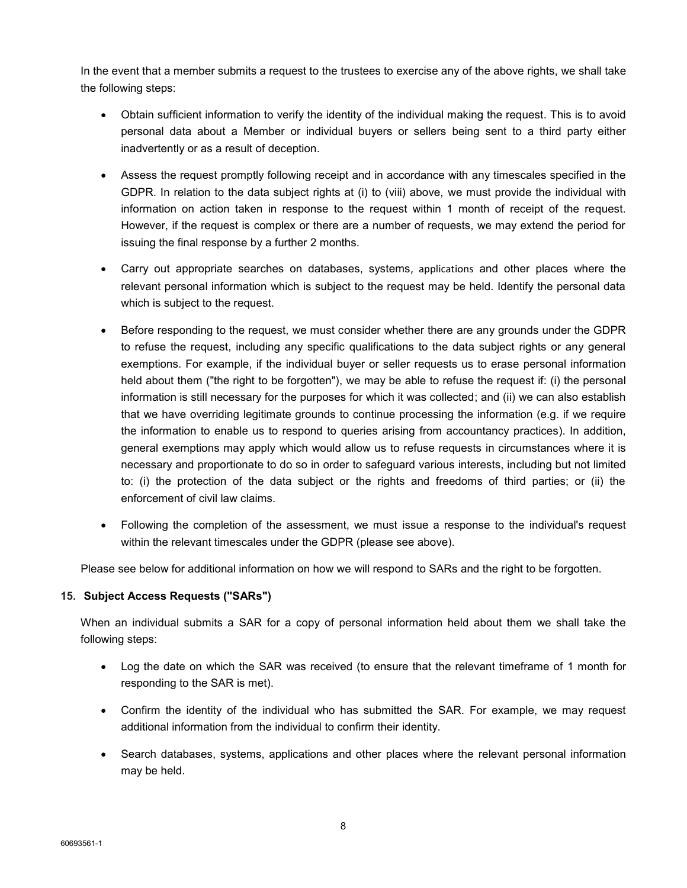In the event that a member submits a request to the trustees to exercise any of the above rights, we shall take the following steps:

- Obtain sufficient information to verify the identity of the individual making the request. This is to avoid personal data about a Member or individual buyers or sellers being sent to a third party either inadvertently or as a result of deception.
- Assess the request promptly following receipt and in accordance with any timescales specified in the GDPR. In relation to the data subject rights at (i) to (viii) above, we must provide the individual with information on action taken in response to the request within 1 month of receipt of the request. However, if the request is complex or there are a number of requests, we may extend the period for issuing the final response by a further 2 months.
- Carry out appropriate searches on databases, systems, applications and other places where the relevant personal information which is subject to the request may be held. Identify the personal data which is subject to the request.
- Before responding to the request, we must consider whether there are any grounds under the GDPR to refuse the request, including any specific qualifications to the data subject rights or any general exemptions. For example, if the individual buyer or seller requests us to erase personal information held about them ("the right to be forgotten"), we may be able to refuse the request if: (i) the personal information is still necessary for the purposes for which it was collected; and (ii) we can also establish that we have overriding legitimate grounds to continue processing the information (e.g. if we require the information to enable us to respond to queries arising from accountancy practices). In addition, general exemptions may apply which would allow us to refuse requests in circumstances where it is necessary and proportionate to do so in order to safeguard various interests, including but not limited to: (i) the protection of the data subject or the rights and freedoms of third parties; or (ii) the enforcement of civil law claims.
- Following the completion of the assessment, we must issue a response to the individual's request within the relevant timescales under the GDPR (please see above).

Please see below for additional information on how we will respond to SARs and the right to be forgotten.

# **15. Subject Access Requests ("SARs")**

When an individual submits a SAR for a copy of personal information held about them we shall take the following steps:

- Log the date on which the SAR was received (to ensure that the relevant timeframe of 1 month for responding to the SAR is met).
- Confirm the identity of the individual who has submitted the SAR. For example, we may request additional information from the individual to confirm their identity.
- Search databases, systems, applications and other places where the relevant personal information may be held.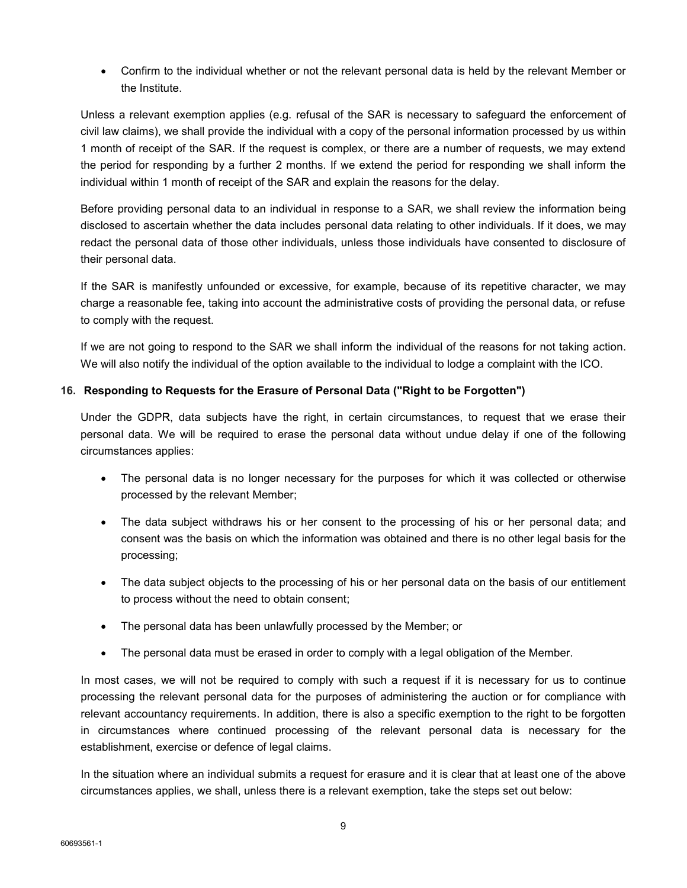• Confirm to the individual whether or not the relevant personal data is held by the relevant Member or the Institute.

Unless a relevant exemption applies (e.g. refusal of the SAR is necessary to safeguard the enforcement of civil law claims), we shall provide the individual with a copy of the personal information processed by us within 1 month of receipt of the SAR. If the request is complex, or there are a number of requests, we may extend the period for responding by a further 2 months. If we extend the period for responding we shall inform the individual within 1 month of receipt of the SAR and explain the reasons for the delay.

Before providing personal data to an individual in response to a SAR, we shall review the information being disclosed to ascertain whether the data includes personal data relating to other individuals. If it does, we may redact the personal data of those other individuals, unless those individuals have consented to disclosure of their personal data.

If the SAR is manifestly unfounded or excessive, for example, because of its repetitive character, we may charge a reasonable fee, taking into account the administrative costs of providing the personal data, or refuse to comply with the request.

If we are not going to respond to the SAR we shall inform the individual of the reasons for not taking action. We will also notify the individual of the option available to the individual to lodge a complaint with the ICO.

# **16. Responding to Requests for the Erasure of Personal Data ("Right to be Forgotten")**

Under the GDPR, data subjects have the right, in certain circumstances, to request that we erase their personal data. We will be required to erase the personal data without undue delay if one of the following circumstances applies:

- The personal data is no longer necessary for the purposes for which it was collected or otherwise processed by the relevant Member;
- The data subject withdraws his or her consent to the processing of his or her personal data; and consent was the basis on which the information was obtained and there is no other legal basis for the processing;
- The data subject objects to the processing of his or her personal data on the basis of our entitlement to process without the need to obtain consent;
- The personal data has been unlawfully processed by the Member; or
- The personal data must be erased in order to comply with a legal obligation of the Member.

In most cases, we will not be required to comply with such a request if it is necessary for us to continue processing the relevant personal data for the purposes of administering the auction or for compliance with relevant accountancy requirements. In addition, there is also a specific exemption to the right to be forgotten in circumstances where continued processing of the relevant personal data is necessary for the establishment, exercise or defence of legal claims.

In the situation where an individual submits a request for erasure and it is clear that at least one of the above circumstances applies, we shall, unless there is a relevant exemption, take the steps set out below: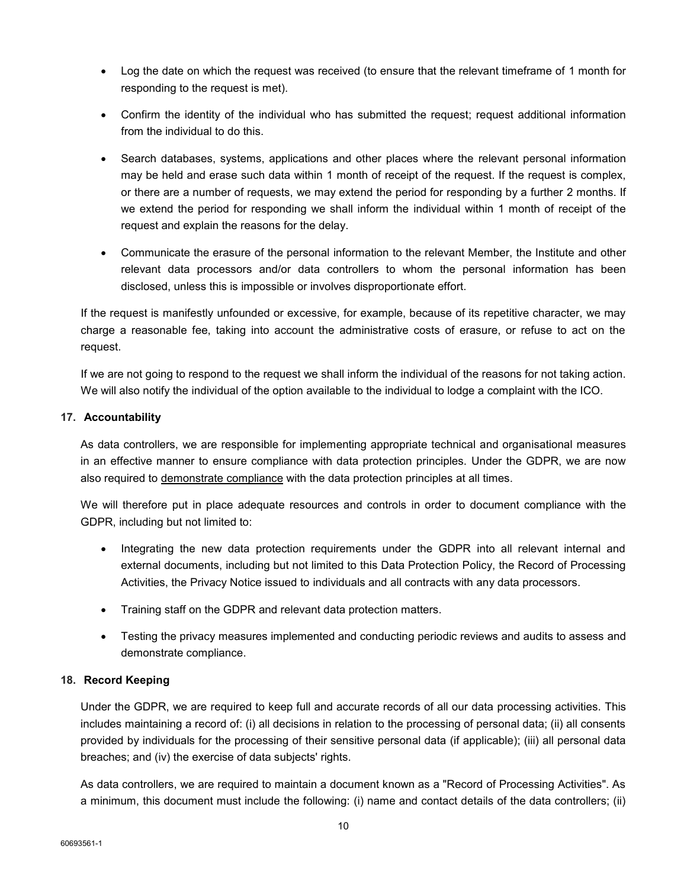- Log the date on which the request was received (to ensure that the relevant timeframe of 1 month for responding to the request is met).
- Confirm the identity of the individual who has submitted the request; request additional information from the individual to do this.
- Search databases, systems, applications and other places where the relevant personal information may be held and erase such data within 1 month of receipt of the request. If the request is complex, or there are a number of requests, we may extend the period for responding by a further 2 months. If we extend the period for responding we shall inform the individual within 1 month of receipt of the request and explain the reasons for the delay.
- Communicate the erasure of the personal information to the relevant Member, the Institute and other relevant data processors and/or data controllers to whom the personal information has been disclosed, unless this is impossible or involves disproportionate effort.

If the request is manifestly unfounded or excessive, for example, because of its repetitive character, we may charge a reasonable fee, taking into account the administrative costs of erasure, or refuse to act on the request.

If we are not going to respond to the request we shall inform the individual of the reasons for not taking action. We will also notify the individual of the option available to the individual to lodge a complaint with the ICO.

# **17. Accountability**

As data controllers, we are responsible for implementing appropriate technical and organisational measures in an effective manner to ensure compliance with data protection principles. Under the GDPR, we are now also required to demonstrate compliance with the data protection principles at all times.

We will therefore put in place adequate resources and controls in order to document compliance with the GDPR, including but not limited to:

- Integrating the new data protection requirements under the GDPR into all relevant internal and external documents, including but not limited to this Data Protection Policy, the Record of Processing Activities, the Privacy Notice issued to individuals and all contracts with any data processors.
- Training staff on the GDPR and relevant data protection matters.
- Testing the privacy measures implemented and conducting periodic reviews and audits to assess and demonstrate compliance.

# **18. Record Keeping**

Under the GDPR, we are required to keep full and accurate records of all our data processing activities. This includes maintaining a record of: (i) all decisions in relation to the processing of personal data; (ii) all consents provided by individuals for the processing of their sensitive personal data (if applicable); (iii) all personal data breaches; and (iv) the exercise of data subjects' rights.

As data controllers, we are required to maintain a document known as a "Record of Processing Activities". As a minimum, this document must include the following: (i) name and contact details of the data controllers; (ii)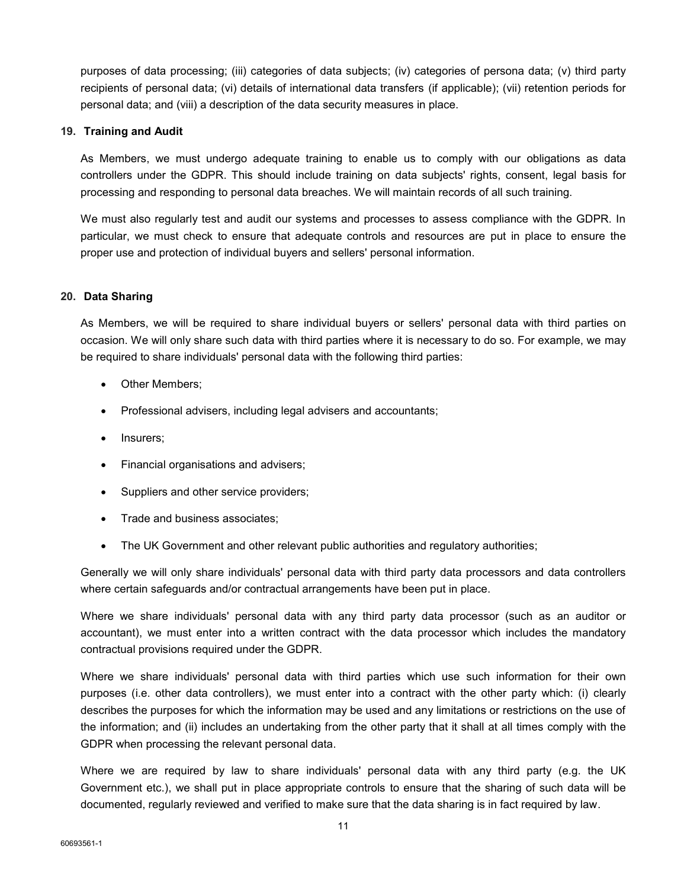purposes of data processing; (iii) categories of data subjects; (iv) categories of persona data; (v) third party recipients of personal data; (vi) details of international data transfers (if applicable); (vii) retention periods for personal data; and (viii) a description of the data security measures in place.

#### **19. Training and Audit**

As Members, we must undergo adequate training to enable us to comply with our obligations as data controllers under the GDPR. This should include training on data subjects' rights, consent, legal basis for processing and responding to personal data breaches. We will maintain records of all such training.

We must also regularly test and audit our systems and processes to assess compliance with the GDPR. In particular, we must check to ensure that adequate controls and resources are put in place to ensure the proper use and protection of individual buyers and sellers' personal information.

#### **20. Data Sharing**

As Members, we will be required to share individual buyers or sellers' personal data with third parties on occasion. We will only share such data with third parties where it is necessary to do so. For example, we may be required to share individuals' personal data with the following third parties:

- Other Members;
- Professional advisers, including legal advisers and accountants;
- Insurers;
- Financial organisations and advisers;
- Suppliers and other service providers;
- Trade and business associates:
- The UK Government and other relevant public authorities and regulatory authorities;

Generally we will only share individuals' personal data with third party data processors and data controllers where certain safeguards and/or contractual arrangements have been put in place.

Where we share individuals' personal data with any third party data processor (such as an auditor or accountant), we must enter into a written contract with the data processor which includes the mandatory contractual provisions required under the GDPR.

Where we share individuals' personal data with third parties which use such information for their own purposes (i.e. other data controllers), we must enter into a contract with the other party which: (i) clearly describes the purposes for which the information may be used and any limitations or restrictions on the use of the information; and (ii) includes an undertaking from the other party that it shall at all times comply with the GDPR when processing the relevant personal data.

Where we are required by law to share individuals' personal data with any third party (e.g. the UK Government etc.), we shall put in place appropriate controls to ensure that the sharing of such data will be documented, regularly reviewed and verified to make sure that the data sharing is in fact required by law.